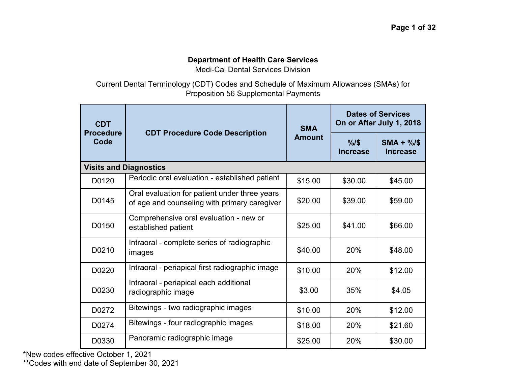## **Department of Health Care Services**

Medi-Cal Dental Services Division

Current Dental Terminology (CDT) Codes and Schedule of Maximum Allowances (SMAs) for Proposition 56 Supplemental Payments

| <b>CDT</b><br><b>Procedure</b><br>Code |                                                                                               | <b>SMA</b>    | <b>Dates of Services</b><br>On or After July 1, 2018 |                               |
|----------------------------------------|-----------------------------------------------------------------------------------------------|---------------|------------------------------------------------------|-------------------------------|
|                                        | <b>CDT Procedure Code Description</b>                                                         | <b>Amount</b> | %1\$<br><b>Increase</b>                              | $SMA + \%$<br><b>Increase</b> |
|                                        | <b>Visits and Diagnostics</b>                                                                 |               |                                                      |                               |
| D0120                                  | Periodic oral evaluation - established patient                                                | \$15.00       | \$30.00                                              | \$45.00                       |
| D0145                                  | Oral evaluation for patient under three years<br>of age and counseling with primary caregiver | \$20.00       | \$39.00                                              | \$59.00                       |
| D0150                                  | Comprehensive oral evaluation - new or<br>established patient                                 | \$25.00       | \$41.00                                              | \$66.00                       |
| D0210                                  | Intraoral - complete series of radiographic<br>images                                         | \$40.00       | 20%                                                  | \$48.00                       |
| D0220                                  | Intraoral - periapical first radiographic image                                               | \$10.00       | 20%                                                  | \$12.00                       |
| D0230                                  | Intraoral - periapical each additional<br>radiographic image                                  | \$3.00        | 35%                                                  | \$4.05                        |
| D0272                                  | Bitewings - two radiographic images                                                           | \$10.00       | 20%                                                  | \$12.00                       |
| D0274                                  | Bitewings - four radiographic images                                                          | \$18.00       | 20%                                                  | \$21.60                       |
| D0330                                  | Panoramic radiographic image                                                                  | \$25.00       | 20%                                                  | \$30.00                       |

\*New codes effective October 1, 2021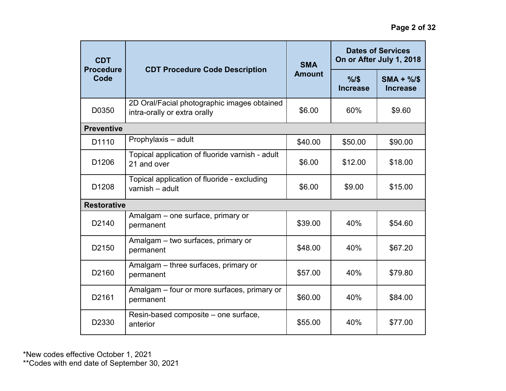| <b>CDT</b><br><b>Procedure</b><br>Code |                                                                             | <b>Dates of Services</b><br>On or After July 1, 2018<br><b>SMA</b> |                         |                               |
|----------------------------------------|-----------------------------------------------------------------------------|--------------------------------------------------------------------|-------------------------|-------------------------------|
|                                        | <b>CDT Procedure Code Description</b>                                       | <b>Amount</b>                                                      | %1\$<br><b>Increase</b> | $SMA + \%$<br><b>Increase</b> |
| D0350                                  | 2D Oral/Facial photographic images obtained<br>intra-orally or extra orally | \$6.00                                                             | 60%                     | \$9.60                        |
| <b>Preventive</b>                      |                                                                             |                                                                    |                         |                               |
| D1110                                  | Prophylaxis - adult                                                         | \$40.00                                                            | \$50.00                 | \$90.00                       |
| D <sub>1206</sub>                      | Topical application of fluoride varnish - adult<br>21 and over              | \$6.00                                                             | \$12.00                 | \$18.00                       |
| D <sub>1208</sub>                      | Topical application of fluoride - excluding<br>varnish - adult              | \$6.00                                                             | \$9.00                  | \$15.00                       |
| <b>Restorative</b>                     |                                                                             |                                                                    |                         |                               |
| D <sub>2140</sub>                      | Amalgam - one surface, primary or<br>permanent                              | \$39.00                                                            | 40%                     | \$54.60                       |
| D <sub>2150</sub>                      | Amalgam - two surfaces, primary or<br>permanent                             | \$48.00                                                            | 40%                     | \$67.20                       |
| D <sub>2160</sub>                      | Amalgam - three surfaces, primary or<br>permanent                           | \$57.00                                                            | 40%                     | \$79.80                       |
| D2161                                  | Amalgam – four or more surfaces, primary or<br>permanent                    | \$60.00                                                            | 40%                     | \$84.00                       |
| D2330                                  | Resin-based composite – one surface,<br>anterior                            | \$55.00                                                            | 40%                     | \$77.00                       |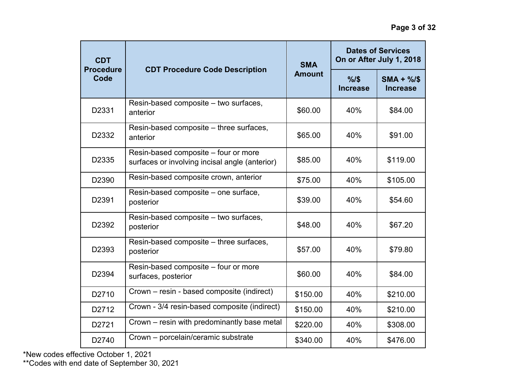| <b>CDT</b>               |                                                                                        | <b>SMA</b>    | <b>Dates of Services</b><br>On or After July 1, 2018 |                               |
|--------------------------|----------------------------------------------------------------------------------------|---------------|------------------------------------------------------|-------------------------------|
| <b>Procedure</b><br>Code | <b>CDT Procedure Code Description</b>                                                  | <b>Amount</b> | %15<br><b>Increase</b>                               | $SMA + \%$<br><b>Increase</b> |
| D2331                    | Resin-based composite - two surfaces,<br>anterior                                      | \$60.00       | 40%                                                  | \$84.00                       |
| D2332                    | Resin-based composite – three surfaces,<br>anterior                                    | \$65.00       | 40%                                                  | \$91.00                       |
| D2335                    | Resin-based composite - four or more<br>surfaces or involving incisal angle (anterior) | \$85.00       | 40%                                                  | \$119.00                      |
| D2390                    | Resin-based composite crown, anterior                                                  | \$75.00       | 40%                                                  | \$105.00                      |
| D2391                    | Resin-based composite - one surface,<br>posterior                                      | \$39.00       | 40%                                                  | \$54.60                       |
| D2392                    | Resin-based composite - two surfaces,<br>posterior                                     | \$48.00       | 40%                                                  | \$67.20                       |
| D2393                    | Resin-based composite - three surfaces,<br>posterior                                   | \$57.00       | 40%                                                  | \$79.80                       |
| D2394                    | Resin-based composite - four or more<br>surfaces, posterior                            | \$60.00       | 40%                                                  | \$84.00                       |
| D2710                    | Crown – resin - based composite (indirect)                                             | \$150.00      | 40%                                                  | \$210.00                      |
| D2712                    | Crown - 3/4 resin-based composite (indirect)                                           | \$150.00      | 40%                                                  | \$210.00                      |
| D2721                    | Crown - resin with predominantly base metal                                            | \$220.00      | 40%                                                  | \$308.00                      |
| D2740                    | Crown - porcelain/ceramic substrate                                                    | \$340.00      | 40%                                                  | \$476.00                      |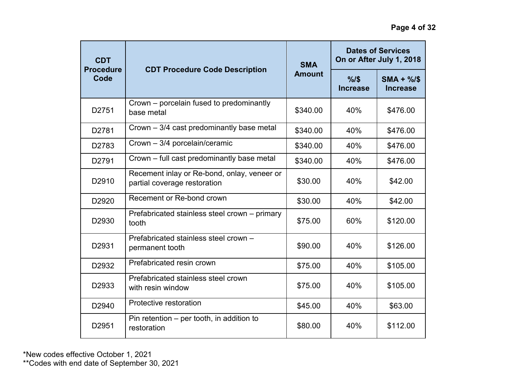| <b>CDT</b><br><b>Procedure</b><br>Code |                                                                             | <b>SMA</b>                              | <b>Dates of Services</b><br>On or After July 1, 2018 |          |
|----------------------------------------|-----------------------------------------------------------------------------|-----------------------------------------|------------------------------------------------------|----------|
|                                        | <b>CDT Procedure Code Description</b>                                       | <b>Amount</b><br>%15<br><b>Increase</b> | $SMA + %$<br><b>Increase</b>                         |          |
| D2751                                  | Crown – porcelain fused to predominantly<br>base metal                      | \$340.00                                | 40%                                                  | \$476.00 |
| D2781                                  | Crown - 3/4 cast predominantly base metal                                   | \$340.00                                | 40%                                                  | \$476.00 |
| D2783                                  | Crown - 3/4 porcelain/ceramic                                               | \$340.00                                | 40%                                                  | \$476.00 |
| D2791                                  | Crown – full cast predominantly base metal                                  | \$340.00                                | 40%                                                  | \$476.00 |
| D2910                                  | Recement inlay or Re-bond, onlay, veneer or<br>partial coverage restoration | \$30.00                                 | 40%                                                  | \$42.00  |
| D2920                                  | Recement or Re-bond crown                                                   | \$30.00                                 | 40%                                                  | \$42.00  |
| D <sub>2930</sub>                      | Prefabricated stainless steel crown – primary<br>tooth                      | \$75.00                                 | 60%                                                  | \$120.00 |
| D2931                                  | Prefabricated stainless steel crown -<br>permanent tooth                    | \$90.00                                 | 40%                                                  | \$126.00 |
| D2932                                  | Prefabricated resin crown                                                   | \$75.00                                 | 40%                                                  | \$105.00 |
| D2933                                  | Prefabricated stainless steel crown<br>with resin window                    | \$75.00                                 | 40%                                                  | \$105.00 |
| D <sub>2940</sub>                      | Protective restoration                                                      | \$45.00                                 | 40%                                                  | \$63.00  |
| D2951                                  | Pin retention $-$ per tooth, in addition to<br>restoration                  | \$80.00                                 | 40%                                                  | \$112.00 |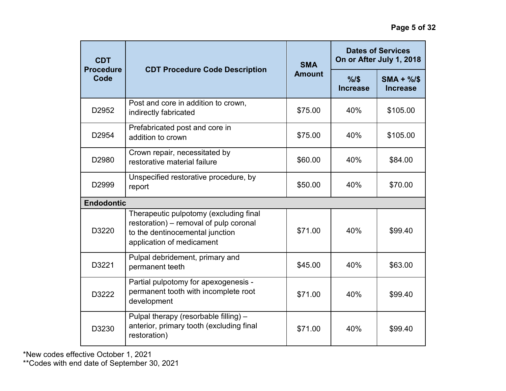| <b>CDT</b><br><b>Procedure</b><br>Code |                                                                                                                                                  | <b>SMA</b>    | <b>Dates of Services</b><br>On or After July 1, 2018 |                               |
|----------------------------------------|--------------------------------------------------------------------------------------------------------------------------------------------------|---------------|------------------------------------------------------|-------------------------------|
|                                        | <b>CDT Procedure Code Description</b>                                                                                                            | <b>Amount</b> | %1\$<br><b>Increase</b>                              | $SMA + \%$<br><b>Increase</b> |
| D2952                                  | Post and core in addition to crown,<br>indirectly fabricated                                                                                     | \$75.00       | 40%                                                  | \$105.00                      |
| D2954                                  | Prefabricated post and core in<br>addition to crown                                                                                              | \$75.00       | 40%                                                  | \$105.00                      |
| D2980                                  | Crown repair, necessitated by<br>restorative material failure                                                                                    | \$60.00       | 40%                                                  | \$84.00                       |
| D2999                                  | Unspecified restorative procedure, by<br>report                                                                                                  | \$50.00       | 40%                                                  | \$70.00                       |
| <b>Endodontic</b>                      |                                                                                                                                                  |               |                                                      |                               |
| D3220                                  | Therapeutic pulpotomy (excluding final<br>restoration) - removal of pulp coronal<br>to the dentinocemental junction<br>application of medicament | \$71.00       | 40%                                                  | \$99.40                       |
| D3221                                  | Pulpal debridement, primary and<br>permanent teeth                                                                                               | \$45.00       | 40%                                                  | \$63.00                       |
| D3222                                  | Partial pulpotomy for apexogenesis -<br>permanent tooth with incomplete root<br>development                                                      | \$71.00       | 40%                                                  | \$99.40                       |
| D3230                                  | Pulpal therapy (resorbable filling) -<br>anterior, primary tooth (excluding final<br>restoration)                                                | \$71.00       | 40%                                                  | \$99.40                       |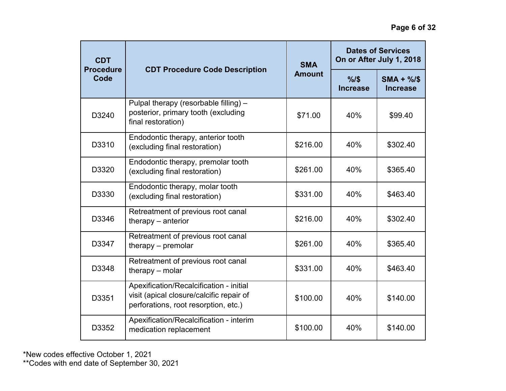| <b>CDT</b><br><b>Procedure</b><br>Code |                                                                                                                             | <b>SMA</b>    | <b>Dates of Services</b><br>On or After July 1, 2018 |                               |
|----------------------------------------|-----------------------------------------------------------------------------------------------------------------------------|---------------|------------------------------------------------------|-------------------------------|
|                                        | <b>CDT Procedure Code Description</b>                                                                                       | <b>Amount</b> | %15<br><b>Increase</b>                               | $SMA + \%$<br><b>Increase</b> |
| D3240                                  | Pulpal therapy (resorbable filling) -<br>posterior, primary tooth (excluding<br>final restoration)                          | \$71.00       | 40%                                                  | \$99.40                       |
| D3310                                  | Endodontic therapy, anterior tooth<br>(excluding final restoration)                                                         | \$216.00      | 40%                                                  | \$302.40                      |
| D3320                                  | Endodontic therapy, premolar tooth<br>(excluding final restoration)                                                         | \$261.00      | 40%                                                  | \$365.40                      |
| D3330                                  | Endodontic therapy, molar tooth<br>(excluding final restoration)                                                            | \$331.00      | 40%                                                  | \$463.40                      |
| D3346                                  | Retreatment of previous root canal<br>therapy - anterior                                                                    | \$216.00      | 40%                                                  | \$302.40                      |
| D3347                                  | Retreatment of previous root canal<br>therapy $-$ premolar                                                                  | \$261.00      | 40%                                                  | \$365.40                      |
| D3348                                  | Retreatment of previous root canal<br>therapy $-$ molar                                                                     | \$331.00      | 40%                                                  | \$463.40                      |
| D3351                                  | Apexification/Recalcification - initial<br>visit (apical closure/calcific repair of<br>perforations, root resorption, etc.) | \$100.00      | 40%                                                  | \$140.00                      |
| D3352                                  | Apexification/Recalcification - interim<br>medication replacement                                                           | \$100.00      | 40%                                                  | \$140.00                      |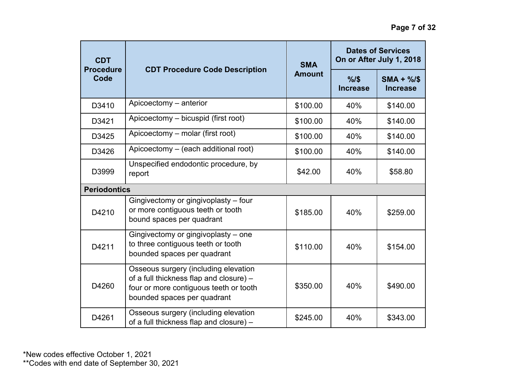| <b>CDT</b><br><b>Procedure</b><br>Code |                                                                                                                                                          | <b>SMA</b>    |                         | <b>Dates of Services</b><br>On or After July 1, 2018 |
|----------------------------------------|----------------------------------------------------------------------------------------------------------------------------------------------------------|---------------|-------------------------|------------------------------------------------------|
|                                        | <b>CDT Procedure Code Description</b>                                                                                                                    | <b>Amount</b> | %1\$<br><b>Increase</b> | $SMA + \%$<br><b>Increase</b>                        |
| D3410                                  | Apicoectomy - anterior                                                                                                                                   | \$100.00      | 40%                     | \$140.00                                             |
| D3421                                  | Apicoectomy - bicuspid (first root)                                                                                                                      | \$100.00      | 40%                     | \$140.00                                             |
| D3425                                  | Apicoectomy – molar (first root)                                                                                                                         | \$100.00      | 40%                     | \$140.00                                             |
| D3426                                  | Apicoectomy - (each additional root)                                                                                                                     | \$100.00      | 40%                     | \$140.00                                             |
| D3999                                  | Unspecified endodontic procedure, by<br>report                                                                                                           | \$42.00       | 40%                     | \$58.80                                              |
| <b>Periodontics</b>                    |                                                                                                                                                          |               |                         |                                                      |
| D4210                                  | Gingivectomy or gingivoplasty - four<br>or more contiguous teeth or tooth<br>bound spaces per quadrant                                                   | \$185.00      | 40%                     | \$259.00                                             |
| D4211                                  | Gingivectomy or gingivoplasty – one<br>to three contiguous teeth or tooth<br>bounded spaces per quadrant                                                 | \$110.00      | 40%                     | \$154.00                                             |
| D4260                                  | Osseous surgery (including elevation<br>of a full thickness flap and closure) -<br>four or more contiguous teeth or tooth<br>bounded spaces per quadrant | \$350.00      | 40%                     | \$490.00                                             |
| D4261                                  | Osseous surgery (including elevation<br>of a full thickness flap and closure) -                                                                          | \$245.00      | 40%                     | \$343.00                                             |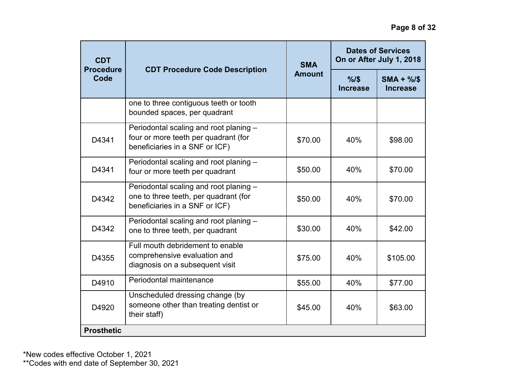| <b>CDT</b><br><b>Procedure</b><br>Code |                                                                                                                   | <b>SMA</b>    | <b>Dates of Services</b><br>On or After July 1, 2018 |                              |
|----------------------------------------|-------------------------------------------------------------------------------------------------------------------|---------------|------------------------------------------------------|------------------------------|
|                                        | <b>CDT Procedure Code Description</b>                                                                             | <b>Amount</b> | $%1$ \$<br><b>Increase</b>                           | $SMA + %$<br><b>Increase</b> |
|                                        | one to three contiguous teeth or tooth<br>bounded spaces, per quadrant                                            |               |                                                      |                              |
| D4341                                  | Periodontal scaling and root planing -<br>four or more teeth per quadrant (for<br>beneficiaries in a SNF or ICF)  | \$70.00       | 40%                                                  | \$98.00                      |
| D4341                                  | Periodontal scaling and root planing -<br>four or more teeth per quadrant                                         | \$50.00       | 40%                                                  | \$70.00                      |
| D4342                                  | Periodontal scaling and root planing -<br>one to three teeth, per quadrant (for<br>beneficiaries in a SNF or ICF) | \$50.00       | 40%                                                  | \$70.00                      |
| D4342                                  | Periodontal scaling and root planing -<br>one to three teeth, per quadrant                                        | \$30.00       | 40%                                                  | \$42.00                      |
| D4355                                  | Full mouth debridement to enable<br>comprehensive evaluation and<br>diagnosis on a subsequent visit               | \$75.00       | 40%                                                  | \$105.00                     |
| D4910                                  | Periodontal maintenance                                                                                           | \$55.00       | 40%                                                  | \$77.00                      |
| D4920                                  | Unscheduled dressing change (by<br>someone other than treating dentist or<br>their staff)                         | \$45.00       | 40%                                                  | \$63.00                      |
| <b>Prosthetic</b>                      |                                                                                                                   |               |                                                      |                              |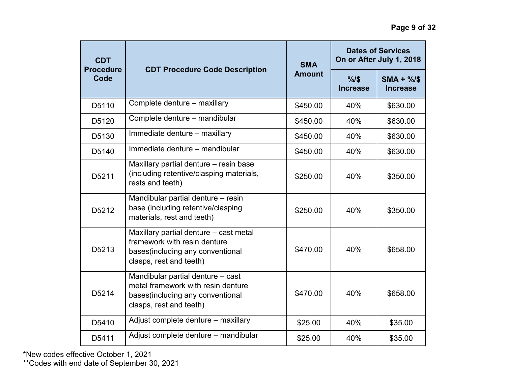| <b>CDT</b><br><b>Procedure</b> |                                                                                                                                        | <b>SMA</b>    | <b>Dates of Services</b><br>On or After July 1, 2018 |                               |
|--------------------------------|----------------------------------------------------------------------------------------------------------------------------------------|---------------|------------------------------------------------------|-------------------------------|
| Code                           | <b>CDT Procedure Code Description</b>                                                                                                  | <b>Amount</b> | %1\$<br><b>Increase</b>                              | $SMA + \%$<br><b>Increase</b> |
| D5110                          | Complete denture - maxillary                                                                                                           | \$450.00      | 40%                                                  | \$630.00                      |
| D5120                          | Complete denture - mandibular                                                                                                          | \$450.00      | 40%                                                  | \$630.00                      |
| D5130                          | Immediate denture - maxillary                                                                                                          | \$450.00      | 40%                                                  | \$630.00                      |
| D5140                          | Immediate denture - mandibular                                                                                                         | \$450.00      | 40%                                                  | \$630.00                      |
| D5211                          | Maxillary partial denture – resin base<br>(including retentive/clasping materials,<br>rests and teeth)                                 | \$250.00      | 40%                                                  | \$350.00                      |
| D5212                          | Mandibular partial denture - resin<br>base (including retentive/clasping<br>materials, rest and teeth)                                 | \$250.00      | 40%                                                  | \$350.00                      |
| D5213                          | Maxillary partial denture - cast metal<br>framework with resin denture<br>bases(including any conventional<br>clasps, rest and teeth)  | \$470.00      | 40%                                                  | \$658.00                      |
| D5214                          | Mandibular partial denture - cast<br>metal framework with resin denture<br>bases(including any conventional<br>clasps, rest and teeth) | \$470.00      | 40%                                                  | \$658.00                      |
| D5410                          | Adjust complete denture - maxillary                                                                                                    | \$25.00       | 40%                                                  | \$35.00                       |
| D5411                          | Adjust complete denture - mandibular                                                                                                   | \$25.00       | 40%                                                  | \$35.00                       |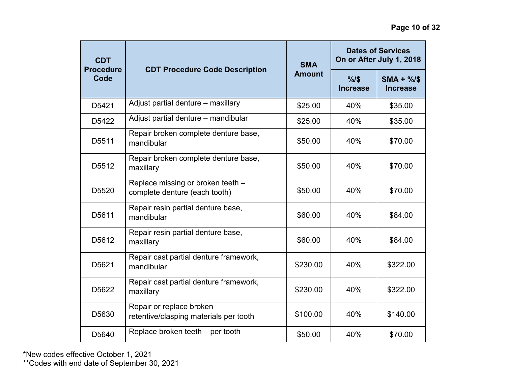| <b>CDT</b>               |                                                                    | <b>SMA</b>    | <b>Dates of Services</b><br>On or After July 1, 2018 |                               |
|--------------------------|--------------------------------------------------------------------|---------------|------------------------------------------------------|-------------------------------|
| <b>Procedure</b><br>Code | <b>CDT Procedure Code Description</b>                              | <b>Amount</b> | %15<br><b>Increase</b>                               | $SMA + \%$<br><b>Increase</b> |
| D5421                    | Adjust partial denture - maxillary                                 | \$25.00       | 40%                                                  | \$35.00                       |
| D5422                    | Adjust partial denture - mandibular                                | \$25.00       | 40%                                                  | \$35.00                       |
| D5511                    | Repair broken complete denture base,<br>mandibular                 | \$50.00       | 40%                                                  | \$70.00                       |
| D5512                    | Repair broken complete denture base,<br>maxillary                  | \$50.00       | 40%                                                  | \$70.00                       |
| D5520                    | Replace missing or broken teeth -<br>complete denture (each tooth) | \$50.00       | 40%                                                  | \$70.00                       |
| D5611                    | Repair resin partial denture base,<br>mandibular                   | \$60.00       | 40%                                                  | \$84.00                       |
| D5612                    | Repair resin partial denture base,<br>maxillary                    | \$60.00       | 40%                                                  | \$84.00                       |
| D5621                    | Repair cast partial denture framework,<br>mandibular               | \$230.00      | 40%                                                  | \$322.00                      |
| D5622                    | Repair cast partial denture framework,<br>maxillary                | \$230.00      | 40%                                                  | \$322.00                      |
| D5630                    | Repair or replace broken<br>retentive/clasping materials per tooth | \$100.00      | 40%                                                  | \$140.00                      |
| D5640                    | Replace broken teeth – per tooth                                   | \$50.00       | 40%                                                  | \$70.00                       |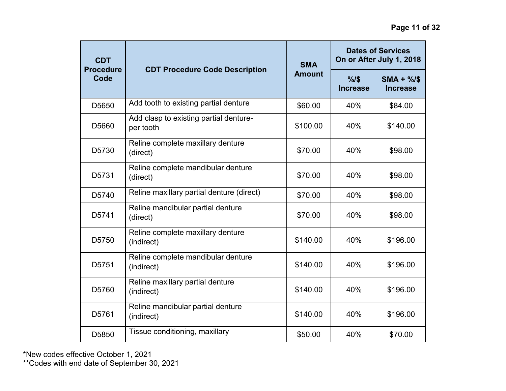| <b>CDT</b>               |                                                     | <b>SMA</b>    | <b>Dates of Services</b><br>On or After July 1, 2018 |                              |
|--------------------------|-----------------------------------------------------|---------------|------------------------------------------------------|------------------------------|
| <b>Procedure</b><br>Code | <b>CDT Procedure Code Description</b>               | <b>Amount</b> | %15<br><b>Increase</b>                               | $SMA + %$<br><b>Increase</b> |
| D5650                    | Add tooth to existing partial denture               | \$60.00       | 40%                                                  | \$84.00                      |
| D5660                    | Add clasp to existing partial denture-<br>per tooth | \$100.00      | 40%                                                  | \$140.00                     |
| D5730                    | Reline complete maxillary denture<br>(direct)       | \$70.00       | 40%                                                  | \$98.00                      |
| D5731                    | Reline complete mandibular denture<br>(direct)      | \$70.00       | 40%                                                  | \$98.00                      |
| D5740                    | Reline maxillary partial denture (direct)           | \$70.00       | 40%                                                  | \$98.00                      |
| D5741                    | Reline mandibular partial denture<br>(direct)       | \$70.00       | 40%                                                  | \$98.00                      |
| D5750                    | Reline complete maxillary denture<br>(indirect)     | \$140.00      | 40%                                                  | \$196.00                     |
| D5751                    | Reline complete mandibular denture<br>(indirect)    | \$140.00      | 40%                                                  | \$196.00                     |
| D5760                    | Reline maxillary partial denture<br>(indirect)      | \$140.00      | 40%                                                  | \$196.00                     |
| D5761                    | Reline mandibular partial denture<br>(indirect)     | \$140.00      | 40%                                                  | \$196.00                     |
| D5850                    | Tissue conditioning, maxillary                      | \$50.00       | 40%                                                  | \$70.00                      |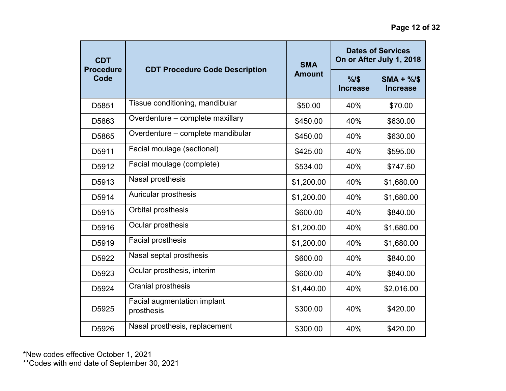| <b>CDT</b>               |                                                  | <b>SMA</b>    | <b>Dates of Services</b><br>On or After July 1, 2018 |                              |
|--------------------------|--------------------------------------------------|---------------|------------------------------------------------------|------------------------------|
| <b>Procedure</b><br>Code | <b>CDT Procedure Code Description</b>            | <b>Amount</b> | %15<br><b>Increase</b>                               | $SMA + %$<br><b>Increase</b> |
| D5851                    | Tissue conditioning, mandibular                  | \$50.00       | 40%                                                  | \$70.00                      |
| D5863                    | Overdenture - complete maxillary                 | \$450.00      | 40%                                                  | \$630.00                     |
| D5865                    | Overdenture - complete mandibular                | \$450.00      | 40%                                                  | \$630.00                     |
| D5911                    | Facial moulage (sectional)                       | \$425.00      | 40%                                                  | \$595.00                     |
| D5912                    | Facial moulage (complete)                        | \$534.00      | 40%                                                  | \$747.60                     |
| D5913                    | Nasal prosthesis                                 | \$1,200.00    | 40%                                                  | \$1,680.00                   |
| D5914                    | <b>Auricular prosthesis</b>                      | \$1,200.00    | 40%                                                  | \$1,680.00                   |
| D5915                    | Orbital prosthesis                               | \$600.00      | 40%                                                  | \$840.00                     |
| D5916                    | Ocular prosthesis                                | \$1,200.00    | 40%                                                  | \$1,680.00                   |
| D5919                    | Facial prosthesis                                | \$1,200.00    | 40%                                                  | \$1,680.00                   |
| D5922                    | Nasal septal prosthesis                          | \$600.00      | 40%                                                  | \$840.00                     |
| D5923                    | Ocular prosthesis, interim                       | \$600.00      | 40%                                                  | \$840.00                     |
| D5924                    | <b>Cranial prosthesis</b>                        | \$1,440.00    | 40%                                                  | \$2,016.00                   |
| D5925                    | <b>Facial augmentation implant</b><br>prosthesis | \$300.00      | 40%                                                  | \$420.00                     |
| D5926                    | Nasal prosthesis, replacement                    | \$300.00      | 40%                                                  | \$420.00                     |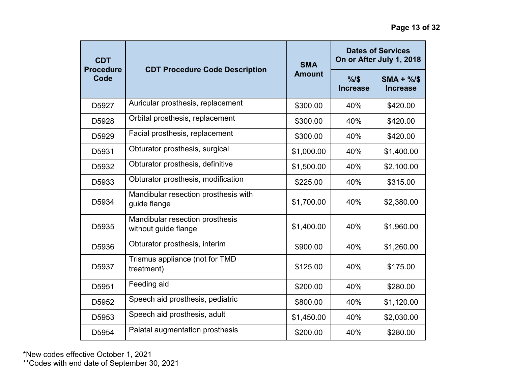| <b>CDT</b><br><b>Procedure</b> |                                                         | <b>SMA</b>    | <b>Dates of Services</b><br>On or After July 1, 2018 |                              |
|--------------------------------|---------------------------------------------------------|---------------|------------------------------------------------------|------------------------------|
| Code                           | <b>CDT Procedure Code Description</b>                   | <b>Amount</b> | $%1$ \$<br><b>Increase</b>                           | $SMA + %$<br><b>Increase</b> |
| D5927                          | Auricular prosthesis, replacement                       | \$300.00      | 40%                                                  | \$420.00                     |
| D5928                          | Orbital prosthesis, replacement                         | \$300.00      | 40%                                                  | \$420.00                     |
| D5929                          | Facial prosthesis, replacement                          | \$300.00      | 40%                                                  | \$420.00                     |
| D5931                          | Obturator prosthesis, surgical                          | \$1,000.00    | 40%                                                  | \$1,400.00                   |
| D5932                          | Obturator prosthesis, definitive                        | \$1,500.00    | 40%                                                  | \$2,100.00                   |
| D5933                          | Obturator prosthesis, modification                      | \$225.00      | 40%                                                  | \$315.00                     |
| D5934                          | Mandibular resection prosthesis with<br>guide flange    | \$1,700.00    | 40%                                                  | \$2,380.00                   |
| D5935                          | Mandibular resection prosthesis<br>without guide flange | \$1,400.00    | 40%                                                  | \$1,960.00                   |
| D5936                          | Obturator prosthesis, interim                           | \$900.00      | 40%                                                  | \$1,260.00                   |
| D5937                          | Trismus appliance (not for TMD<br>treatment)            | \$125.00      | 40%                                                  | \$175.00                     |
| D5951                          | Feeding aid                                             | \$200.00      | 40%                                                  | \$280.00                     |
| D5952                          | Speech aid prosthesis, pediatric                        | \$800.00      | 40%                                                  | \$1,120.00                   |
| D5953                          | Speech aid prosthesis, adult                            | \$1,450.00    | 40%                                                  | \$2,030.00                   |
| D5954                          | Palatal augmentation prosthesis                         | \$200.00      | 40%                                                  | \$280.00                     |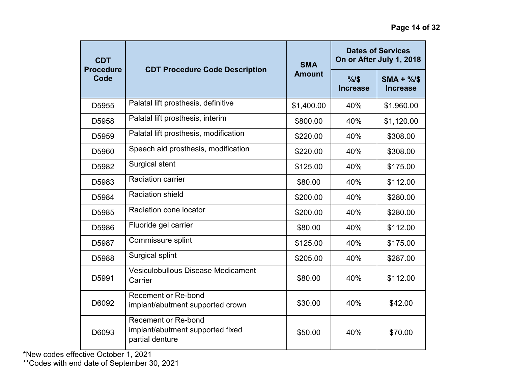| <b>CDT</b><br><b>Procedure</b> | <b>CDT Procedure Code Description</b>                                             | <b>SMA</b>             | <b>Dates of Services</b><br>On or After July 1, 2018 |            |
|--------------------------------|-----------------------------------------------------------------------------------|------------------------|------------------------------------------------------|------------|
| Code                           | <b>Amount</b>                                                                     | %15<br><b>Increase</b> | $SMA + %$<br><b>Increase</b>                         |            |
| D5955                          | Palatal lift prosthesis, definitive                                               | \$1,400.00             | 40%                                                  | \$1,960.00 |
| D5958                          | Palatal lift prosthesis, interim                                                  | \$800.00               | 40%                                                  | \$1,120.00 |
| D <sub>5959</sub>              | Palatal lift prosthesis, modification                                             | \$220.00               | 40%                                                  | \$308.00   |
| D5960                          | Speech aid prosthesis, modification                                               | \$220.00               | 40%                                                  | \$308.00   |
| D5982                          | Surgical stent                                                                    | \$125.00               | 40%                                                  | \$175.00   |
| D5983                          | <b>Radiation carrier</b>                                                          | \$80.00                | 40%                                                  | \$112.00   |
| D5984                          | <b>Radiation shield</b>                                                           | \$200.00               | 40%                                                  | \$280.00   |
| D5985                          | Radiation cone locator                                                            | \$200.00               | 40%                                                  | \$280.00   |
| D5986                          | Fluoride gel carrier                                                              | \$80.00                | 40%                                                  | \$112.00   |
| D5987                          | Commissure splint                                                                 | \$125.00               | 40%                                                  | \$175.00   |
| D5988                          | Surgical splint                                                                   | \$205.00               | 40%                                                  | \$287.00   |
| D5991                          | Vesiculobullous Disease Medicament<br>Carrier                                     | \$80.00                | 40%                                                  | \$112.00   |
| D6092                          | <b>Recement or Re-bond</b><br>implant/abutment supported crown                    | \$30.00                | 40%                                                  | \$42.00    |
| D6093                          | <b>Recement or Re-bond</b><br>implant/abutment supported fixed<br>partial denture | \$50.00                | 40%                                                  | \$70.00    |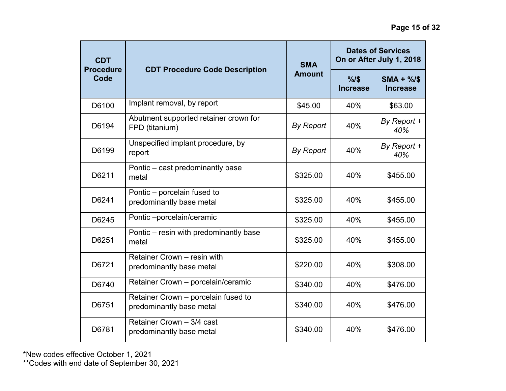| <b>CDT</b><br><b>Procedure</b> |                                                                 | <b>SMA</b>       | <b>Dates of Services</b><br>On or After July 1, 2018 |                               |
|--------------------------------|-----------------------------------------------------------------|------------------|------------------------------------------------------|-------------------------------|
| Code                           | <b>CDT Procedure Code Description</b>                           | <b>Amount</b>    | %15<br><b>Increase</b>                               | $SMA + \%$<br><b>Increase</b> |
| D6100                          | Implant removal, by report                                      | \$45.00          | 40%                                                  | \$63.00                       |
| D6194                          | Abutment supported retainer crown for<br>FPD (titanium)         | <b>By Report</b> | 40%                                                  | By Report +<br>40%            |
| D6199                          | Unspecified implant procedure, by<br>report                     | <b>By Report</b> | 40%                                                  | By Report +<br>40%            |
| D6211                          | Pontic - cast predominantly base<br>metal                       | \$325.00         | 40%                                                  | \$455.00                      |
| D6241                          | Pontic - porcelain fused to<br>predominantly base metal         | \$325.00         | 40%                                                  | \$455.00                      |
| D6245                          | Pontic-porcelain/ceramic                                        | \$325.00         | 40%                                                  | \$455.00                      |
| D6251                          | Pontic – resin with predominantly base<br>metal                 | \$325.00         | 40%                                                  | \$455.00                      |
| D6721                          | Retainer Crown - resin with<br>predominantly base metal         | \$220.00         | 40%                                                  | \$308.00                      |
| D6740                          | Retainer Crown - porcelain/ceramic                              | \$340.00         | 40%                                                  | \$476.00                      |
| D6751                          | Retainer Crown - porcelain fused to<br>predominantly base metal | \$340.00         | 40%                                                  | \$476.00                      |
| D6781                          | Retainer Crown - 3/4 cast<br>predominantly base metal           | \$340.00         | 40%                                                  | \$476.00                      |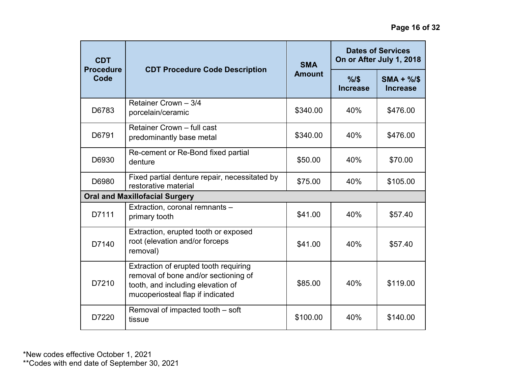| <b>CDT</b><br><b>Procedure</b><br>Code |                                                                                                                                                        | <b>SMA</b>    |                         | <b>Dates of Services</b><br>On or After July 1, 2018 |
|----------------------------------------|--------------------------------------------------------------------------------------------------------------------------------------------------------|---------------|-------------------------|------------------------------------------------------|
|                                        | <b>CDT Procedure Code Description</b>                                                                                                                  | <b>Amount</b> | %1\$<br><b>Increase</b> | $SMA + \%$<br><b>Increase</b>                        |
| D6783                                  | Retainer Crown - 3/4<br>porcelain/ceramic                                                                                                              | \$340.00      | 40%                     | \$476.00                                             |
| D6791                                  | Retainer Crown - full cast<br>predominantly base metal                                                                                                 | \$340.00      | 40%                     | \$476.00                                             |
| D6930                                  | Re-cement or Re-Bond fixed partial<br>denture                                                                                                          | \$50.00       | 40%                     | \$70.00                                              |
| D6980                                  | Fixed partial denture repair, necessitated by<br>restorative material                                                                                  | \$75.00       | 40%                     | \$105.00                                             |
|                                        | <b>Oral and Maxillofacial Surgery</b>                                                                                                                  |               |                         |                                                      |
| D7111                                  | Extraction, coronal remnants -<br>primary tooth                                                                                                        | \$41.00       | 40%                     | \$57.40                                              |
| D7140                                  | Extraction, erupted tooth or exposed<br>root (elevation and/or forceps<br>removal)                                                                     | \$41.00       | 40%                     | \$57.40                                              |
| D7210                                  | Extraction of erupted tooth requiring<br>removal of bone and/or sectioning of<br>tooth, and including elevation of<br>mucoperiosteal flap if indicated | \$85.00       | 40%                     | \$119.00                                             |
| D7220                                  | Removal of impacted tooth - soft<br>tissue                                                                                                             | \$100.00      | 40%                     | \$140.00                                             |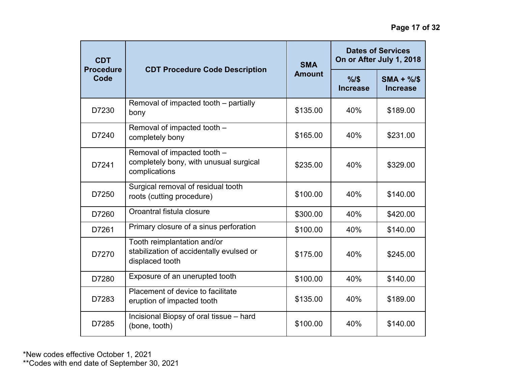| <b>CDT</b><br><b>Procedure</b> | <b>CDT Procedure Code Description</b>                                                      | <b>SMA</b>    | <b>Dates of Services</b><br>On or After July 1, 2018 |                       |
|--------------------------------|--------------------------------------------------------------------------------------------|---------------|------------------------------------------------------|-----------------------|
| Code                           |                                                                                            | <b>Amount</b> | %1\$<br>Increase                                     | $SMA + %$<br>Increase |
| D7230                          | Removal of impacted tooth - partially<br>bony                                              | \$135.00      | 40%                                                  | \$189.00              |
| D7240                          | Removal of impacted tooth -<br>completely bony                                             | \$165.00      | 40%                                                  | \$231.00              |
| D7241                          | Removal of impacted tooth -<br>completely bony, with unusual surgical<br>complications     | \$235.00      | 40%                                                  | \$329.00              |
| D7250                          | Surgical removal of residual tooth<br>roots (cutting procedure)                            | \$100.00      | 40%                                                  | \$140.00              |
| D7260                          | Oroantral fistula closure                                                                  | \$300.00      | 40%                                                  | \$420.00              |
| D7261                          | Primary closure of a sinus perforation                                                     | \$100.00      | 40%                                                  | \$140.00              |
| D7270                          | Tooth reimplantation and/or<br>stabilization of accidentally evulsed or<br>displaced tooth | \$175.00      | 40%                                                  | \$245.00              |
| D7280                          | Exposure of an unerupted tooth                                                             | \$100.00      | 40%                                                  | \$140.00              |
| D7283                          | Placement of device to facilitate<br>eruption of impacted tooth                            | \$135.00      | 40%                                                  | \$189.00              |
| D7285                          | Incisional Biopsy of oral tissue - hard<br>(bone, tooth)                                   | \$100.00      | 40%                                                  | \$140.00              |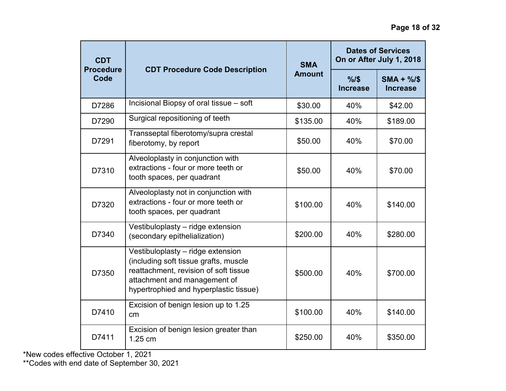| <b>CDT</b><br><b>Procedure</b> |                                                                                                                                                                                               | <b>SMA</b>    | <b>Dates of Services</b><br>On or After July 1, 2018 |                              |
|--------------------------------|-----------------------------------------------------------------------------------------------------------------------------------------------------------------------------------------------|---------------|------------------------------------------------------|------------------------------|
| Code                           | <b>CDT Procedure Code Description</b>                                                                                                                                                         | <b>Amount</b> | $\frac{9}{6}$<br><b>Increase</b>                     | $SMA + %$<br><b>Increase</b> |
| D7286                          | Incisional Biopsy of oral tissue - soft                                                                                                                                                       | \$30.00       | 40%                                                  | \$42.00                      |
| D7290                          | Surgical repositioning of teeth                                                                                                                                                               | \$135.00      | 40%                                                  | \$189.00                     |
| D7291                          | Transseptal fiberotomy/supra crestal<br>fiberotomy, by report                                                                                                                                 | \$50.00       | 40%                                                  | \$70.00                      |
| D7310                          | Alveoloplasty in conjunction with<br>extractions - four or more teeth or<br>tooth spaces, per quadrant                                                                                        | \$50.00       | 40%                                                  | \$70.00                      |
| D7320                          | Alveoloplasty not in conjunction with<br>extractions - four or more teeth or<br>tooth spaces, per quadrant                                                                                    | \$100.00      | 40%                                                  | \$140.00                     |
| D7340                          | Vestibuloplasty - ridge extension<br>(secondary epithelialization)                                                                                                                            | \$200.00      | 40%                                                  | \$280.00                     |
| D7350                          | Vestibuloplasty - ridge extension<br>(including soft tissue grafts, muscle<br>reattachment, revision of soft tissue<br>attachment and management of<br>hypertrophied and hyperplastic tissue) | \$500.00      | 40%                                                  | \$700.00                     |
| D7410                          | Excision of benign lesion up to 1.25<br>cm                                                                                                                                                    | \$100.00      | 40%                                                  | \$140.00                     |
| D7411                          | Excision of benign lesion greater than<br>1.25 cm                                                                                                                                             | \$250.00      | 40%                                                  | \$350.00                     |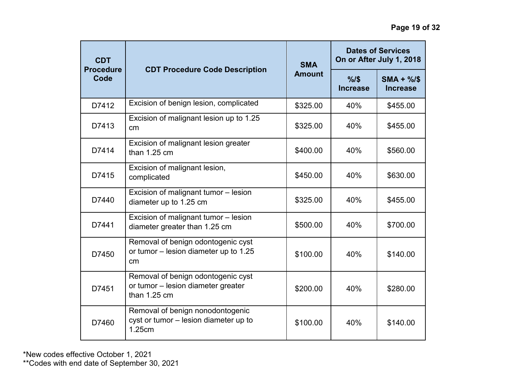| <b>CDT</b><br><b>Procedure</b><br>Code |                                                                                            | <b>SMA</b>    | <b>Dates of Services</b><br>On or After July 1, 2018 |                               |
|----------------------------------------|--------------------------------------------------------------------------------------------|---------------|------------------------------------------------------|-------------------------------|
|                                        | <b>CDT Procedure Code Description</b>                                                      | <b>Amount</b> | %1\$<br>Increase                                     | $SMA + \%$<br><b>Increase</b> |
| D7412                                  | Excision of benign lesion, complicated                                                     | \$325.00      | 40%                                                  | \$455.00                      |
| D7413                                  | Excision of malignant lesion up to 1.25<br>cm                                              | \$325.00      | 40%                                                  | \$455.00                      |
| D7414                                  | Excision of malignant lesion greater<br>than $1.25$ cm                                     | \$400.00      | 40%                                                  | \$560.00                      |
| D7415                                  | Excision of malignant lesion,<br>complicated                                               | \$450.00      | 40%                                                  | \$630.00                      |
| D7440                                  | Excision of malignant tumor - lesion<br>diameter up to 1.25 cm                             | \$325.00      | 40%                                                  | \$455.00                      |
| D7441                                  | Excision of malignant tumor - lesion<br>diameter greater than 1.25 cm                      | \$500.00      | 40%                                                  | \$700.00                      |
| D7450                                  | Removal of benign odontogenic cyst<br>or tumor - lesion diameter up to 1.25<br>cm          | \$100.00      | 40%                                                  | \$140.00                      |
| D7451                                  | Removal of benign odontogenic cyst<br>or tumor - lesion diameter greater<br>than $1.25$ cm | \$200.00      | 40%                                                  | \$280.00                      |
| D7460                                  | Removal of benign nonodontogenic<br>cyst or tumor - lesion diameter up to<br>1.25cm        | \$100.00      | 40%                                                  | \$140.00                      |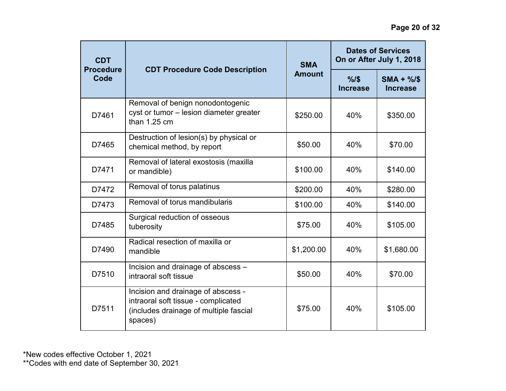| <b>CDT</b>               |                                                                                                                                | <b>SMA</b>    |                  | <b>Dates of Services</b><br>On or After July 1, 2018 |
|--------------------------|--------------------------------------------------------------------------------------------------------------------------------|---------------|------------------|------------------------------------------------------|
| <b>Procedure</b><br>Code | <b>CDT Procedure Code Description</b>                                                                                          | <b>Amount</b> | %1\$<br>Increase | $SMA + \%$<br><b>Increase</b>                        |
| D7461                    | Removal of benign nonodontogenic<br>cyst or tumor - lesion diameter greater<br>than $1.25$ cm                                  | \$250.00      | 40%              | \$350.00                                             |
| D7465                    | Destruction of lesion(s) by physical or<br>chemical method, by report                                                          | \$50.00       | 40%              | \$70.00                                              |
| D7471                    | Removal of lateral exostosis (maxilla<br>or mandible)                                                                          | \$100.00      | 40%              | \$140.00                                             |
| D7472                    | Removal of torus palatinus                                                                                                     | \$200.00      | 40%              | \$280.00                                             |
| D7473                    | Removal of torus mandibularis                                                                                                  | \$100.00      | 40%              | \$140.00                                             |
| D7485                    | Surgical reduction of osseous<br>tuberosity                                                                                    | \$75.00       | 40%              | \$105.00                                             |
| D7490                    | Radical resection of maxilla or<br>mandible                                                                                    | \$1,200.00    | 40%              | \$1,680.00                                           |
| D7510                    | Incision and drainage of abscess -<br>intraoral soft tissue                                                                    | \$50.00       | 40%              | \$70.00                                              |
| D7511                    | Incision and drainage of abscess -<br>intraoral soft tissue - complicated<br>(includes drainage of multiple fascial<br>spaces) | \$75.00       | 40%              | \$105.00                                             |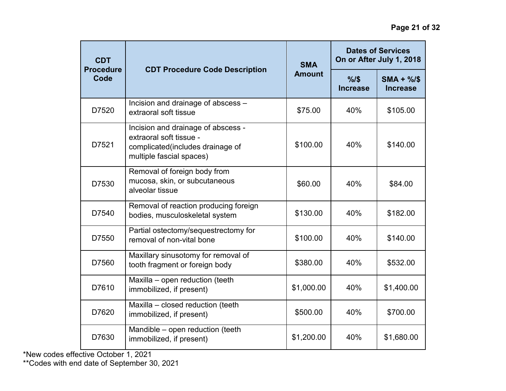| <b>CDT</b><br><b>Procedure</b><br><b>CDT Procedure Code Description</b><br>Code |                                                                                                                               | <b>SMA</b>             | <b>Dates of Services</b><br>On or After July 1, 2018 |            |
|---------------------------------------------------------------------------------|-------------------------------------------------------------------------------------------------------------------------------|------------------------|------------------------------------------------------|------------|
|                                                                                 | <b>Amount</b>                                                                                                                 | %15<br><b>Increase</b> | $SMA + %$<br><b>Increase</b>                         |            |
| D7520                                                                           | Incision and drainage of abscess -<br>extraoral soft tissue                                                                   | \$75.00                | 40%                                                  | \$105.00   |
| D7521                                                                           | Incision and drainage of abscess -<br>extraoral soft tissue -<br>complicated(includes drainage of<br>multiple fascial spaces) | \$100.00               | 40%                                                  | \$140.00   |
| D7530                                                                           | Removal of foreign body from<br>mucosa, skin, or subcutaneous<br>alveolar tissue                                              | \$60.00                | 40%                                                  | \$84.00    |
| D7540                                                                           | Removal of reaction producing foreign<br>bodies, musculoskeletal system                                                       | \$130.00               | 40%                                                  | \$182.00   |
| D7550                                                                           | Partial ostectomy/sequestrectomy for<br>removal of non-vital bone                                                             | \$100.00               | 40%                                                  | \$140.00   |
| D7560                                                                           | Maxillary sinusotomy for removal of<br>tooth fragment or foreign body                                                         | \$380.00               | 40%                                                  | \$532.00   |
| D7610                                                                           | Maxilla - open reduction (teeth<br>immobilized, if present)                                                                   | \$1,000.00             | 40%                                                  | \$1,400.00 |
| D7620                                                                           | Maxilla - closed reduction (teeth<br>immobilized, if present)                                                                 | \$500.00               | 40%                                                  | \$700.00   |
| D7630                                                                           | Mandible - open reduction (teeth<br>immobilized, if present)                                                                  | \$1,200.00             | 40%                                                  | \$1,680.00 |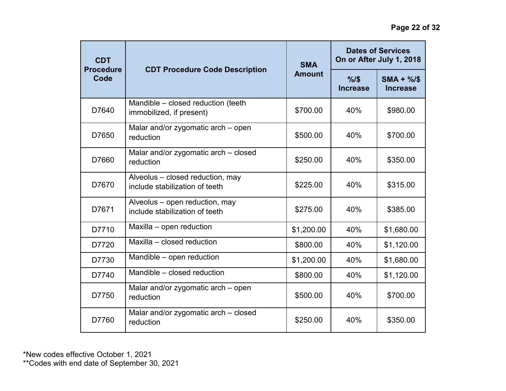| <b>CDT</b><br><b>Procedure</b> |                                                                    | <b>SMA</b>    | <b>Dates of Services</b><br>On or After July 1, 2018 |                               |
|--------------------------------|--------------------------------------------------------------------|---------------|------------------------------------------------------|-------------------------------|
| Code                           | <b>CDT Procedure Code Description</b>                              | <b>Amount</b> | %1\$<br><b>Increase</b>                              | $SMA + \%$<br><b>Increase</b> |
| D7640                          | Mandible – closed reduction (teeth<br>immobilized, if present)     | \$700.00      | 40%                                                  | \$980.00                      |
| D7650                          | Malar and/or zygomatic arch - open<br>reduction                    | \$500.00      | 40%                                                  | \$700.00                      |
| D7660                          | Malar and/or zygomatic arch - closed<br>reduction                  | \$250.00      | 40%                                                  | \$350.00                      |
| D7670                          | Alveolus - closed reduction, may<br>include stabilization of teeth | \$225.00      | 40%                                                  | \$315.00                      |
| D7671                          | Alveolus - open reduction, may<br>include stabilization of teeth   | \$275.00      | 40%                                                  | \$385.00                      |
| D7710                          | Maxilla - open reduction                                           | \$1,200.00    | 40%                                                  | \$1,680.00                    |
| D7720                          | Maxilla - closed reduction                                         | \$800.00      | 40%                                                  | \$1,120.00                    |
| D7730                          | Mandible - open reduction                                          | \$1,200.00    | 40%                                                  | \$1,680.00                    |
| D7740                          | Mandible - closed reduction                                        | \$800.00      | 40%                                                  | \$1,120.00                    |
| D7750                          | Malar and/or zygomatic arch – open<br>reduction                    | \$500.00      | 40%                                                  | \$700.00                      |
| D7760                          | Malar and/or zygomatic arch - closed<br>reduction                  | \$250.00      | 40%                                                  | \$350.00                      |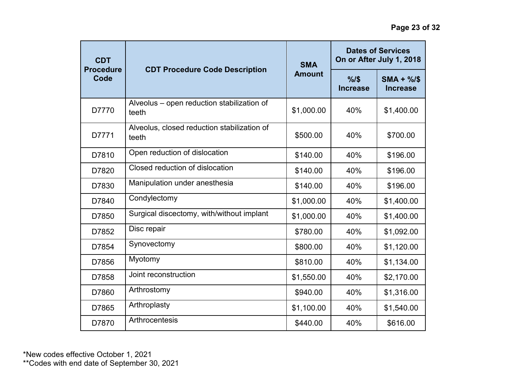| <b>CDT</b><br><b>Procedure</b> |                                                      | <b>SMA</b>    | <b>Dates of Services</b><br>On or After July 1, 2018 |                               |
|--------------------------------|------------------------------------------------------|---------------|------------------------------------------------------|-------------------------------|
| Code                           | <b>CDT Procedure Code Description</b>                | <b>Amount</b> | %1\$<br><b>Increase</b>                              | $SMA + \%$<br><b>Increase</b> |
| D7770                          | Alveolus - open reduction stabilization of<br>teeth  | \$1,000.00    | 40%                                                  | \$1,400.00                    |
| D7771                          | Alveolus, closed reduction stabilization of<br>teeth | \$500.00      | 40%                                                  | \$700.00                      |
| D7810                          | Open reduction of dislocation                        | \$140.00      | 40%                                                  | \$196.00                      |
| D7820                          | Closed reduction of dislocation                      | \$140.00      | 40%                                                  | \$196.00                      |
| D7830                          | Manipulation under anesthesia                        | \$140.00      | 40%                                                  | \$196.00                      |
| D7840                          | Condylectomy                                         | \$1,000.00    | 40%                                                  | \$1,400.00                    |
| D7850                          | Surgical discectomy, with/without implant            | \$1,000.00    | 40%                                                  | \$1,400.00                    |
| D7852                          | Disc repair                                          | \$780.00      | 40%                                                  | \$1,092.00                    |
| D7854                          | Synovectomy                                          | \$800.00      | 40%                                                  | \$1,120.00                    |
| D7856                          | Myotomy                                              | \$810.00      | 40%                                                  | \$1,134.00                    |
| D7858                          | Joint reconstruction                                 | \$1,550.00    | 40%                                                  | \$2,170.00                    |
| D7860                          | Arthrostomy                                          | \$940.00      | 40%                                                  | \$1,316.00                    |
| D7865                          | Arthroplasty                                         | \$1,100.00    | 40%                                                  | \$1,540.00                    |
| D7870                          | Arthrocentesis                                       | \$440.00      | 40%                                                  | \$616.00                      |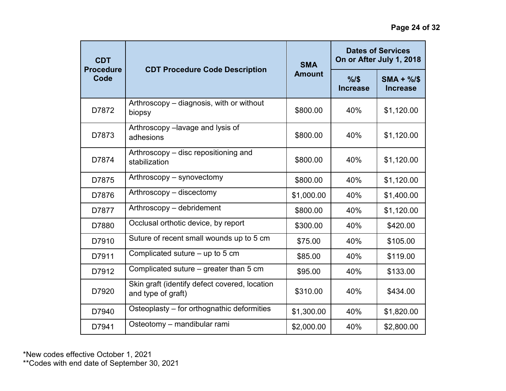| <b>CDT</b>               |                                                                     | <b>SMA</b>    | <b>Dates of Services</b><br>On or After July 1, 2018 |                               |
|--------------------------|---------------------------------------------------------------------|---------------|------------------------------------------------------|-------------------------------|
| <b>Procedure</b><br>Code | <b>CDT Procedure Code Description</b>                               | <b>Amount</b> | %15<br>Increase                                      | $SMA + \%$<br><b>Increase</b> |
| D7872                    | Arthroscopy - diagnosis, with or without<br>biopsy                  | \$800.00      | 40%                                                  | \$1,120.00                    |
| D7873                    | Arthroscopy -lavage and lysis of<br>adhesions                       | \$800.00      | 40%                                                  | \$1,120.00                    |
| D7874                    | Arthroscopy – disc repositioning and<br>stabilization               | \$800.00      | 40%                                                  | \$1,120.00                    |
| D7875                    | Arthroscopy – synovectomy                                           | \$800.00      | 40%                                                  | \$1,120.00                    |
| D7876                    | Arthroscopy - discectomy                                            | \$1,000.00    | 40%                                                  | \$1,400.00                    |
| D7877                    | Arthroscopy - debridement                                           | \$800.00      | 40%                                                  | \$1,120.00                    |
| D7880                    | Occlusal orthotic device, by report                                 | \$300.00      | 40%                                                  | \$420.00                      |
| D7910                    | Suture of recent small wounds up to 5 cm                            | \$75.00       | 40%                                                  | \$105.00                      |
| D7911                    | Complicated suture $-$ up to 5 cm                                   | \$85.00       | 40%                                                  | \$119.00                      |
| D7912                    | Complicated suture - greater than 5 cm                              | \$95.00       | 40%                                                  | \$133.00                      |
| D7920                    | Skin graft (identify defect covered, location<br>and type of graft) | \$310.00      | 40%                                                  | \$434.00                      |
| D7940                    | Osteoplasty – for orthognathic deformities                          | \$1,300.00    | 40%                                                  | \$1,820.00                    |
| D7941                    | Osteotomy - mandibular rami                                         | \$2,000.00    | 40%                                                  | \$2,800.00                    |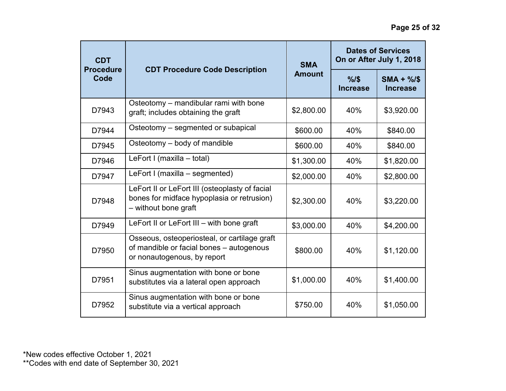| <b>CDT</b><br><b>Procedure</b><br>Code | <b>CDT Procedure Code Description</b>                                                                                   | <b>SMA</b><br><b>Amount</b> | <b>Dates of Services</b><br>On or After July 1, 2018 |                              |
|----------------------------------------|-------------------------------------------------------------------------------------------------------------------------|-----------------------------|------------------------------------------------------|------------------------------|
|                                        |                                                                                                                         |                             | %15<br><b>Increase</b>                               | $SMA + %$<br><b>Increase</b> |
| D7943                                  | Osteotomy - mandibular rami with bone<br>graft; includes obtaining the graft                                            | \$2,800.00                  | 40%                                                  | \$3,920.00                   |
| D7944                                  | Osteotomy - segmented or subapical                                                                                      | \$600.00                    | 40%                                                  | \$840.00                     |
| D7945                                  | Osteotomy – body of mandible                                                                                            | \$600.00                    | 40%                                                  | \$840.00                     |
| D7946                                  | LeFort I (maxilla - total)                                                                                              | \$1,300.00                  | 40%                                                  | \$1,820.00                   |
| D7947                                  | LeFort I (maxilla – segmented)                                                                                          | \$2,000.00                  | 40%                                                  | \$2,800.00                   |
| D7948                                  | LeFort II or LeFort III (osteoplasty of facial<br>bones for midface hypoplasia or retrusion)<br>- without bone graft    | \$2,300.00                  | 40%                                                  | \$3,220.00                   |
| D7949                                  | LeFort II or LeFort III - with bone graft                                                                               | \$3,000.00                  | 40%                                                  | \$4,200.00                   |
| D7950                                  | Osseous, osteoperiosteal, or cartilage graft<br>of mandible or facial bones - autogenous<br>or nonautogenous, by report | \$800.00                    | 40%                                                  | \$1,120.00                   |
| D7951                                  | Sinus augmentation with bone or bone<br>substitutes via a lateral open approach                                         | \$1,000.00                  | 40%                                                  | \$1,400.00                   |
| D7952                                  | Sinus augmentation with bone or bone<br>substitute via a vertical approach                                              | \$750.00                    | 40%                                                  | \$1,050.00                   |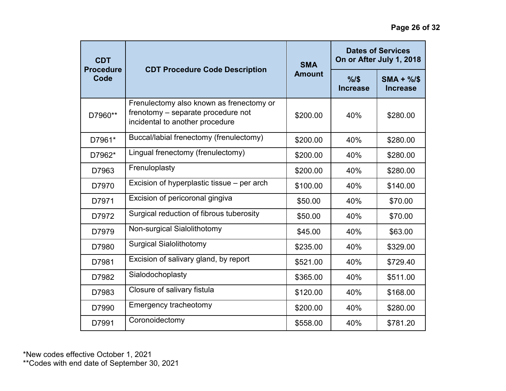| <b>CDT</b><br><b>Procedure</b><br>Code | <b>CDT Procedure Code Description</b>                                                                             | <b>SMA</b><br><b>Amount</b> | <b>Dates of Services</b><br>On or After July 1, 2018 |                               |
|----------------------------------------|-------------------------------------------------------------------------------------------------------------------|-----------------------------|------------------------------------------------------|-------------------------------|
|                                        |                                                                                                                   |                             | %1\$<br><b>Increase</b>                              | $SMA + \%$<br><b>Increase</b> |
| D7960**                                | Frenulectomy also known as frenectomy or<br>frenotomy - separate procedure not<br>incidental to another procedure | \$200.00                    | 40%                                                  | \$280.00                      |
| D7961*                                 | Buccal/labial frenectomy (frenulectomy)                                                                           | \$200.00                    | 40%                                                  | \$280.00                      |
| D7962*                                 | Lingual frenectomy (frenulectomy)                                                                                 | \$200.00                    | 40%                                                  | \$280.00                      |
| D7963                                  | Frenuloplasty                                                                                                     | \$200.00                    | 40%                                                  | \$280.00                      |
| D7970                                  | Excision of hyperplastic tissue – per arch                                                                        | \$100.00                    | 40%                                                  | \$140.00                      |
| D7971                                  | Excision of pericoronal gingiva                                                                                   | \$50.00                     | 40%                                                  | \$70.00                       |
| D7972                                  | Surgical reduction of fibrous tuberosity                                                                          | \$50.00                     | 40%                                                  | \$70.00                       |
| D7979                                  | Non-surgical Sialolithotomy                                                                                       | \$45.00                     | 40%                                                  | \$63.00                       |
| D7980                                  | <b>Surgical Sialolithotomy</b>                                                                                    | \$235.00                    | 40%                                                  | \$329.00                      |
| D7981                                  | Excision of salivary gland, by report                                                                             | \$521.00                    | 40%                                                  | \$729.40                      |
| D7982                                  | Sialodochoplasty                                                                                                  | \$365.00                    | 40%                                                  | \$511.00                      |
| D7983                                  | Closure of salivary fistula                                                                                       | \$120.00                    | 40%                                                  | \$168.00                      |
| D7990                                  | Emergency tracheotomy                                                                                             | \$200.00                    | 40%                                                  | \$280.00                      |
| D7991                                  | Coronoidectomy                                                                                                    | \$558.00                    | 40%                                                  | \$781.20                      |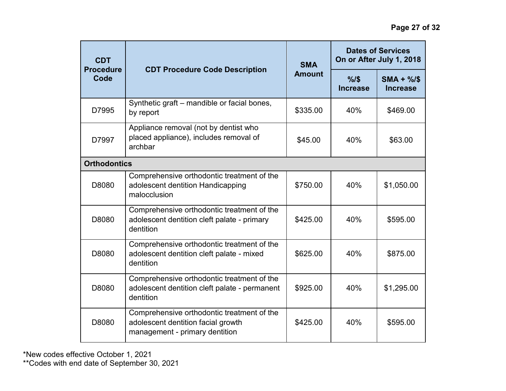| <b>CDT</b><br><b>Procedure</b><br>Code | <b>CDT Procedure Code Description</b>                                                                              | <b>SMA</b><br><b>Amount</b> | <b>Dates of Services</b><br>On or After July 1, 2018 |                               |
|----------------------------------------|--------------------------------------------------------------------------------------------------------------------|-----------------------------|------------------------------------------------------|-------------------------------|
|                                        |                                                                                                                    |                             | %1\$<br><b>Increase</b>                              | $SMA + \%$<br><b>Increase</b> |
| D7995                                  | Synthetic graft - mandible or facial bones,<br>by report                                                           | \$335.00                    | 40%                                                  | \$469.00                      |
| D7997                                  | Appliance removal (not by dentist who<br>placed appliance), includes removal of<br>archbar                         | \$45.00                     | 40%                                                  | \$63.00                       |
| <b>Orthodontics</b>                    |                                                                                                                    |                             |                                                      |                               |
| D8080                                  | Comprehensive orthodontic treatment of the<br>adolescent dentition Handicapping<br>malocclusion                    | \$750.00                    | 40%                                                  | \$1,050.00                    |
| D8080                                  | Comprehensive orthodontic treatment of the<br>adolescent dentition cleft palate - primary<br>dentition             | \$425.00                    | 40%                                                  | \$595.00                      |
| D8080                                  | Comprehensive orthodontic treatment of the<br>adolescent dentition cleft palate - mixed<br>dentition               | \$625.00                    | 40%                                                  | \$875.00                      |
| D8080                                  | Comprehensive orthodontic treatment of the<br>adolescent dentition cleft palate - permanent<br>dentition           | \$925.00                    | 40%                                                  | \$1,295.00                    |
| D8080                                  | Comprehensive orthodontic treatment of the<br>adolescent dentition facial growth<br>management - primary dentition | \$425.00                    | 40%                                                  | \$595.00                      |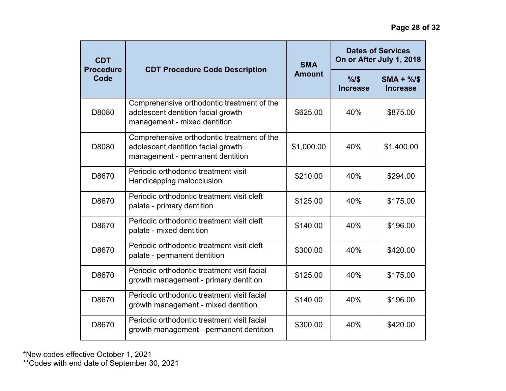| <b>CDT</b><br><b>Procedure</b><br>Code | <b>CDT Procedure Code Description</b>                                                                                | <b>SMA</b><br><b>Amount</b> | <b>Dates of Services</b><br>On or After July 1, 2018 |                              |
|----------------------------------------|----------------------------------------------------------------------------------------------------------------------|-----------------------------|------------------------------------------------------|------------------------------|
|                                        |                                                                                                                      |                             | %1\$<br><b>Increase</b>                              | $SMA + %$<br><b>Increase</b> |
| D8080                                  | Comprehensive orthodontic treatment of the<br>adolescent dentition facial growth<br>management - mixed dentition     | \$625.00                    | 40%                                                  | \$875.00                     |
| D8080                                  | Comprehensive orthodontic treatment of the<br>adolescent dentition facial growth<br>management - permanent dentition | \$1,000.00                  | 40%                                                  | \$1,400.00                   |
| D8670                                  | Periodic orthodontic treatment visit<br>Handicapping malocclusion                                                    | \$210.00                    | 40%                                                  | \$294.00                     |
| D8670                                  | Periodic orthodontic treatment visit cleft<br>palate - primary dentition                                             | \$125.00                    | 40%                                                  | \$175.00                     |
| D8670                                  | Periodic orthodontic treatment visit cleft<br>palate - mixed dentition                                               | \$140.00                    | 40%                                                  | \$196.00                     |
| D8670                                  | Periodic orthodontic treatment visit cleft<br>palate - permanent dentition                                           | \$300.00                    | 40%                                                  | \$420.00                     |
| D8670                                  | Periodic orthodontic treatment visit facial<br>growth management - primary dentition                                 | \$125.00                    | 40%                                                  | \$175.00                     |
| D8670                                  | Periodic orthodontic treatment visit facial<br>growth management - mixed dentition                                   | \$140.00                    | 40%                                                  | \$196.00                     |
| D8670                                  | Periodic orthodontic treatment visit facial<br>growth management - permanent dentition                               | \$300.00                    | 40%                                                  | \$420.00                     |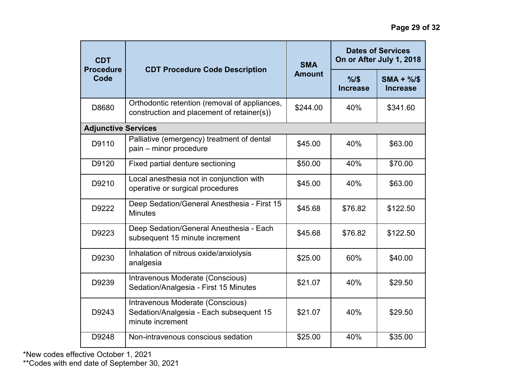| <b>CDT</b><br><b>Procedure</b><br>Code | <b>CDT Procedure Code Description</b>                                                           | <b>SMA</b><br><b>Amount</b> | <b>Dates of Services</b><br>On or After July 1, 2018 |                               |
|----------------------------------------|-------------------------------------------------------------------------------------------------|-----------------------------|------------------------------------------------------|-------------------------------|
|                                        |                                                                                                 |                             | %1\$<br><b>Increase</b>                              | $SMA + \%$<br><b>Increase</b> |
| D8680                                  | Orthodontic retention (removal of appliances,<br>construction and placement of retainer(s))     | \$244.00                    | 40%                                                  | \$341.60                      |
| <b>Adjunctive Services</b>             |                                                                                                 |                             |                                                      |                               |
| D9110                                  | Palliative (emergency) treatment of dental<br>pain - minor procedure                            | \$45.00                     | 40%                                                  | \$63.00                       |
| D9120                                  | Fixed partial denture sectioning                                                                | \$50.00                     | 40%                                                  | \$70.00                       |
| D9210                                  | Local anesthesia not in conjunction with<br>operative or surgical procedures                    | \$45.00                     | 40%                                                  | \$63.00                       |
| D9222                                  | Deep Sedation/General Anesthesia - First 15<br><b>Minutes</b>                                   | \$45.68                     | \$76.82                                              | \$122.50                      |
| D9223                                  | Deep Sedation/General Anesthesia - Each<br>subsequent 15 minute increment                       | \$45.68                     | \$76.82                                              | \$122.50                      |
| D9230                                  | Inhalation of nitrous oxide/anxiolysis<br>analgesia                                             | \$25.00                     | 60%                                                  | \$40.00                       |
| D9239                                  | Intravenous Moderate (Conscious)<br>Sedation/Analgesia - First 15 Minutes                       | \$21.07                     | 40%                                                  | \$29.50                       |
| D9243                                  | Intravenous Moderate (Conscious)<br>Sedation/Analgesia - Each subsequent 15<br>minute increment | \$21.07                     | 40%                                                  | \$29.50                       |
| D9248                                  | Non-intravenous conscious sedation                                                              | \$25.00                     | 40%                                                  | \$35.00                       |